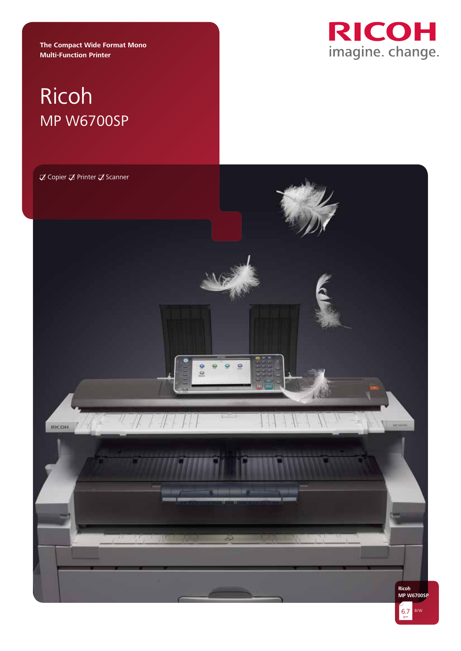**The Compact Wide Format Mono Multi-Function Printer** 



# Ricoh MP W6700SP

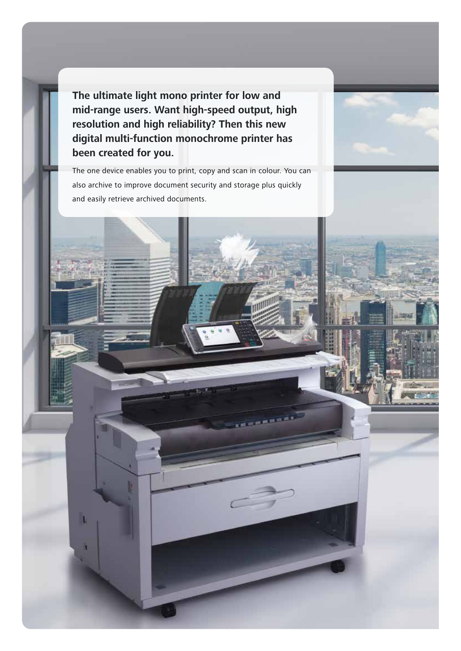**The ultimate light mono printer for low and mid-range users. Want high-speed output, high resolution and high reliability? Then this new digital multi-function monochrome printer has been created for you.** 

The one device enables you to print, copy and scan in colour. You can also archive to improve document security and storage plus quickly and easily retrieve archived documents.

T

utille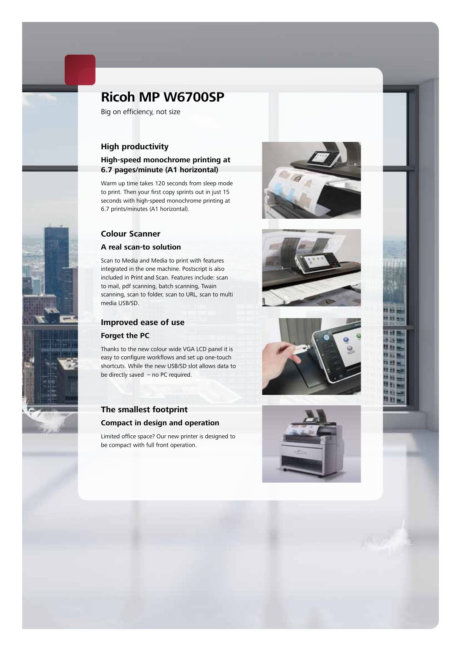

# **Ricoh MP W6700SP**

Big on efficiency, not size

# **High productivity**

#### **High-speed monochrome printing at 6.7 pages/minute (A1 horizontal)**

Warm up time takes 120 seconds from sleep mode to print. Then your first copy sprints out in just 15 seconds with high-speed monochrome printing at 6.7 prints/minutes (A1 horizontal).

## **Colour Scanner**

#### **A real scan-to solution**

Scan to Media and Media to print with features integrated in the one machine. Postscript is also included in Print and Scan. Features include: scan to mail, pdf scanning, batch scanning, Twain scanning, scan to folder, scan to URL, scan to multi media USB/SD.

# **Improved ease of use**

#### **Forget the PC**

Thanks to the new colour wide VGA LCD panel it is easy to configure workflows and set up one-touch shortcuts. While the new USB/SD slot allows data to be directly saved – no PC required.



Limited office space? Our new printer is designed to be compact with full front operation.







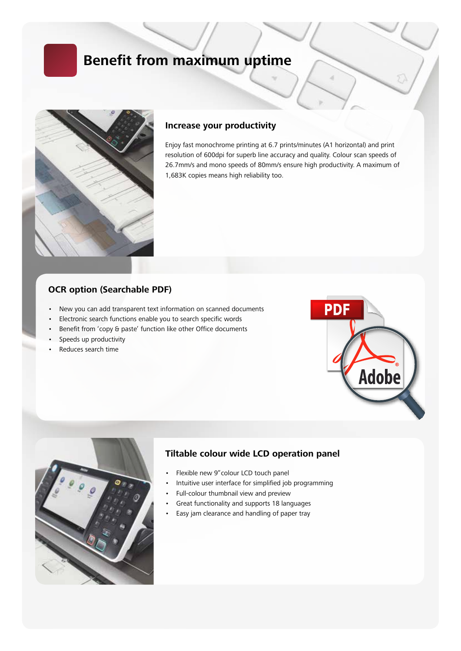# **Benefit from maximum uptime**



### **Increase your productivity**

Enjoy fast monochrome printing at 6.7 prints/minutes (A1 horizontal) and print resolution of 600dpi for superb line accuracy and quality. Colour scan speeds of 26.7mm/s and mono speeds of 80mm/s ensure high productivity. A maximum of 1,683K copies means high reliability too.

### **OCR option (Searchable PDF)**

- New you can add transparent text information on scanned documents
- Electronic search functions enable you to search specific words
- Benefit from 'copy & paste' function like other Office documents
- Speeds up productivity
- Reduces search time





### **Tiltable colour wide LCD operation panel**

- Flexible new 9"colour LCD touch panel
- Intuitive user interface for simplified job programming
- Full-colour thumbnail view and preview
- Great functionality and supports 18 languages
- Easy jam clearance and handling of paper tray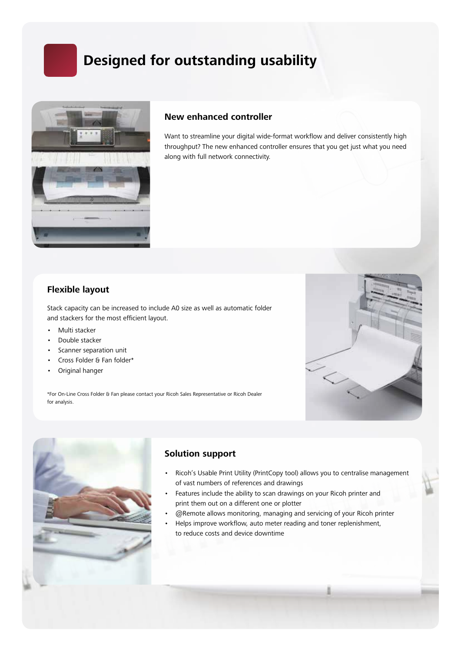# **Designed for outstanding usability**



## **New enhanced controller**

Want to streamline your digital wide-format workflow and deliver consistently high throughput? The new enhanced controller ensures that you get just what you need along with full network connectivity.

# **Flexible layout**

Stack capacity can be increased to include A0 size as well as automatic folder and stackers for the most efficient layout.

- Multi stacker
- Double stacker
- Scanner separation unit
- Cross Folder & Fan folder\*
- Original hanger

\*For On-Line Cross Folder & Fan please contact your Ricoh Sales Representative or Ricoh Dealer for analysis.





# **Solution support**

- Ricoh's Usable Print Utility (PrintCopy tool) allows you to centralise management of vast numbers of references and drawings
- Features include the ability to scan drawings on your Ricoh printer and print them out on a different one or plotter
- @Remote allows monitoring, managing and servicing of your Ricoh printer
- Helps improve workflow, auto meter reading and toner replenishment, to reduce costs and device downtime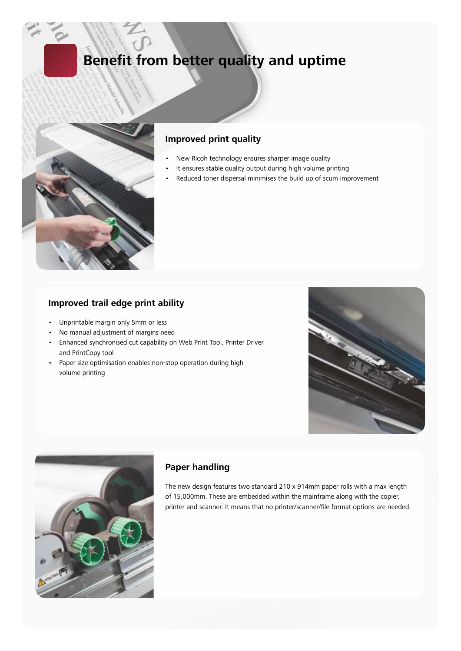# **Benefit from better quality and uptime**



# **Improved print quality**

- New Ricoh technology ensures sharper image quality
- It ensures stable quality output during high volume printing
- Reduced toner dispersal minimises the build up of scum improvement

### **Improved trail edge print ability**

- Unprintable margin only 5mm or less
- No manual adjustment of margins need
- Enhanced synchronised cut capability on Web Print Tool, Printer Driver and PrintCopy tool
- Paper size optimisation enables non-stop operation during high volume printing





# **Paper handling**

The new design features two standard 210 x 914mm paper rolls with a max length of 15,000mm. These are embedded within the mainframe along with the copier, printer and scanner. It means that no printer/scanner/file format options are needed.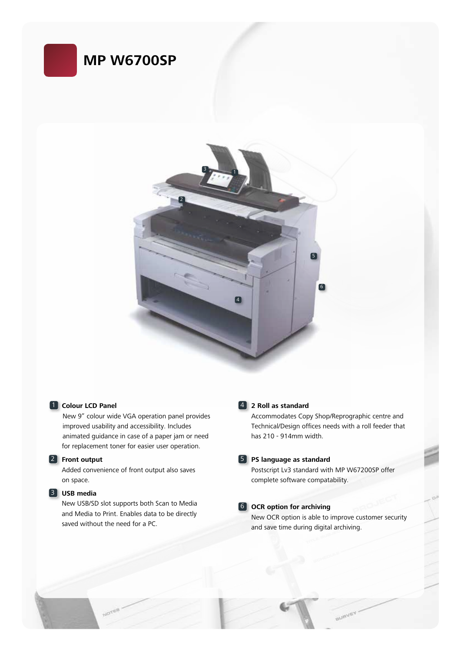



#### **1** Colour LCD Panel

New 9" colour wide VGA operation panel provides improved usability and accessibility. Includes animated guidance in case of a paper jam or need for replacement toner for easier user operation.

#### 2 **Front output**

Added convenience of front output also saves on space.

#### 3 **USB media**

New USB/SD slot supports both Scan to Media and Media to Print. Enables data to be directly saved without the need for a PC.

#### 4 **2 Roll as standard**

Accommodates Copy Shop/Reprographic centre and Technical/Design offices needs with a roll feeder that has 210 - 914mm width.

#### 5 **PS language as standard**

Postscript Lv3 standard with MP W67200SP offer complete software compatability.

#### 6 **OCR option for archiving**

New OCR option is able to improve customer security and save time during digital archiving.